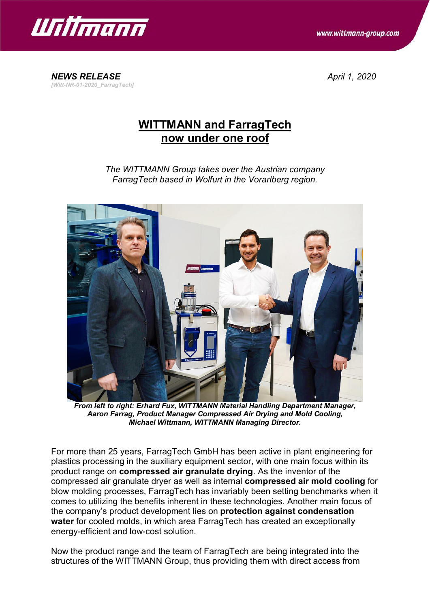



*[Witt-NR-01-2020\_FarragTech]*

*NEWS RELEASE April 1, 2020*

## **WITTMANN and FarragTech now under one roof**

*The WITTMANN Group takes over the Austrian company FarragTech based in Wolfurt in the Vorarlberg region.*



*From left to right: Erhard Fux, WITTMANN Material Handling Department Manager, Aaron Farrag, Product Manager Compressed Air Drying and Mold Cooling, Michael Wittmann, WITTMANN Managing Director.*

For more than 25 years, FarragTech GmbH has been active in plant engineering for plastics processing in the auxiliary equipment sector, with one main focus within its product range on **compressed air granulate drying**. As the inventor of the compressed air granulate dryer as well as internal **compressed air mold cooling** for blow molding processes, FarragTech has invariably been setting benchmarks when it comes to utilizing the benefits inherent in these technologies. Another main focus of the company's product development lies on **protection against condensation water** for cooled molds, in which area FarragTech has created an exceptionally energy-efficient and low-cost solution.

Now the product range and the team of FarragTech are being integrated into the structures of the WITTMANN Group, thus providing them with direct access from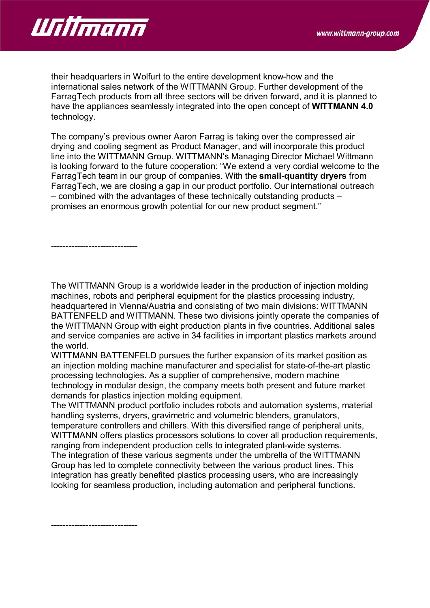

their headquarters in Wolfurt to the entire development know-how and the international sales network of the WITTMANN Group. Further development of the FarragTech products from all three sectors will be driven forward, and it is planned to have the appliances seamlessly integrated into the open concept of **WITTMANN 4.0** technology.

The company's previous owner Aaron Farrag is taking over the compressed air drying and cooling segment as Product Manager, and will incorporate this product line into the WITTMANN Group. WITTMANN's Managing Director Michael Wittmann is looking forward to the future cooperation: "We extend a very cordial welcome to the FarragTech team in our group of companies. With the **small-quantity dryers** from FarragTech, we are closing a gap in our product portfolio. Our international outreach – combined with the advantages of these technically outstanding products – promises an enormous growth potential for our new product segment."

------------------------------

The WITTMANN Group is a worldwide leader in the production of injection molding machines, robots and peripheral equipment for the plastics processing industry, headquartered in Vienna/Austria and consisting of two main divisions: WITTMANN BATTENFELD and WITTMANN. These two divisions jointly operate the companies of the WITTMANN Group with eight production plants in five countries. Additional sales and service companies are active in 34 facilities in important plastics markets around the world.

WITTMANN BATTENFELD pursues the further expansion of its market position as an injection molding machine manufacturer and specialist for state-of-the-art plastic processing technologies. As a supplier of comprehensive, modern machine technology in modular design, the company meets both present and future market demands for plastics injection molding equipment.

The WITTMANN product portfolio includes robots and automation systems, material handling systems, dryers, gravimetric and volumetric blenders, granulators, temperature controllers and chillers. With this diversified range of peripheral units, WITTMANN offers plastics processors solutions to cover all production requirements, ranging from independent production cells to integrated plant-wide systems. The integration of these various segments under the umbrella of the WITTMANN Group has led to complete connectivity between the various product lines. This integration has greatly benefited plastics processing users, who are increasingly

looking for seamless production, including automation and peripheral functions.

------------------------------